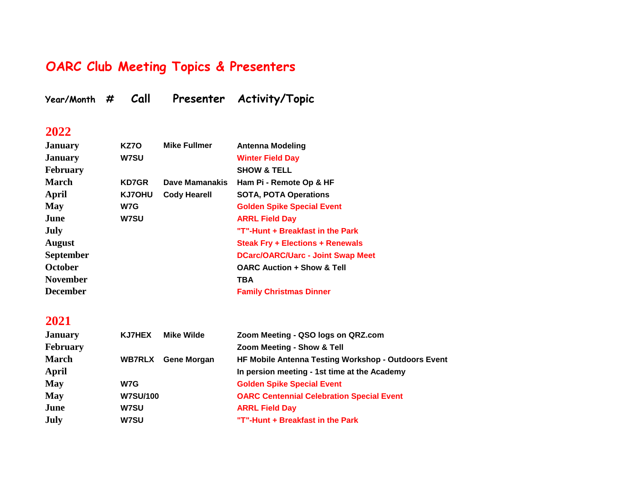## **OARC Club Meeting Topics & Presenters**

**Year/Month # Call Presenter Activity/Topic**

#### **2022**

| KZ70          | <b>Mike Fullmer</b> | <b>Antenna Modeling</b>                  |
|---------------|---------------------|------------------------------------------|
| <b>W7SU</b>   |                     | <b>Winter Field Day</b>                  |
|               |                     | <b>SHOW &amp; TELL</b>                   |
| <b>KD7GR</b>  | Dave Mamanakis      | Ham Pi - Remote Op & HF                  |
| <b>KJ7OHU</b> | <b>Cody Hearell</b> | <b>SOTA, POTA Operations</b>             |
| W7G           |                     | <b>Golden Spike Special Event</b>        |
| <b>W7SU</b>   |                     | <b>ARRL Field Day</b>                    |
|               |                     | "T"-Hunt + Breakfast in the Park         |
|               |                     | <b>Steak Fry + Elections + Renewals</b>  |
|               |                     | <b>DCarc/OARC/Uarc - Joint Swap Meet</b> |
|               |                     | <b>OARC Auction + Show &amp; Tell</b>    |
|               |                     | TBA                                      |
|               |                     | <b>Family Christmas Dinner</b>           |
|               |                     |                                          |

| <b>January</b>  | <b>KJ7HEX</b>   | <b>Mike Wilde</b> | Zoom Meeting - QSO logs on QRZ.com                  |
|-----------------|-----------------|-------------------|-----------------------------------------------------|
| <b>February</b> |                 |                   | Zoom Meeting - Show & Tell                          |
| <b>March</b>    | <b>WB7RLX</b>   | Gene Morgan       | HF Mobile Antenna Testing Workshop - Outdoors Event |
| April           |                 |                   | In persion meeting - 1st time at the Academy        |
| <b>May</b>      | W7G             |                   | <b>Golden Spike Special Event</b>                   |
| <b>May</b>      | <b>W7SU/100</b> |                   | <b>OARC Centennial Celebration Special Event</b>    |
| June            | <b>W7SU</b>     |                   | <b>ARRL Field Day</b>                               |
| July            | <b>W7SU</b>     |                   | "T"-Hunt + Breakfast in the Park                    |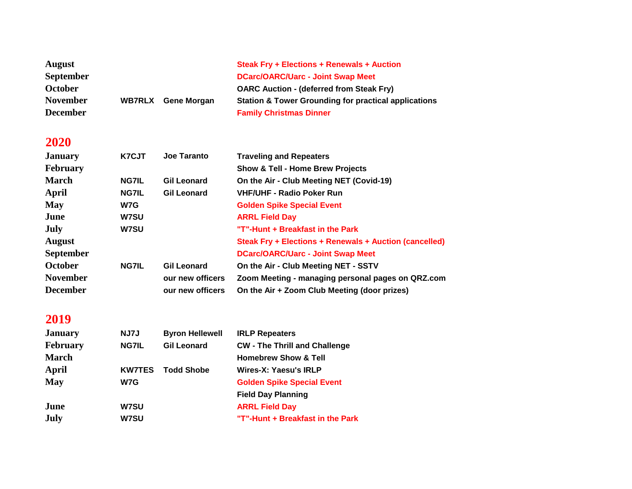| <b>August</b>    |               |                    | <b>Steak Fry + Elections + Renewals + Auction</b>               |
|------------------|---------------|--------------------|-----------------------------------------------------------------|
| <b>September</b> |               |                    | <b>DCarc/OARC/Uarc - Joint Swap Meet</b>                        |
| <b>October</b>   |               |                    | <b>OARC Auction - (deferred from Steak Fry)</b>                 |
| <b>November</b>  | <b>WB7RLX</b> | <b>Gene Morgan</b> | <b>Station &amp; Tower Grounding for practical applications</b> |
| <b>December</b>  |               |                    | <b>Family Christmas Dinner</b>                                  |

| <b>January</b>   | K7CJT        | Joe Taranto        | <b>Traveling and Repeaters</b>                         |
|------------------|--------------|--------------------|--------------------------------------------------------|
| <b>February</b>  |              |                    | <b>Show &amp; Tell - Home Brew Projects</b>            |
| <b>March</b>     | <b>NG7IL</b> | <b>Gil Leonard</b> | On the Air - Club Meeting NET (Covid-19)               |
| April            | <b>NG7IL</b> | <b>Gil Leonard</b> | <b>VHF/UHF - Radio Poker Run</b>                       |
| <b>May</b>       | W7G          |                    | <b>Golden Spike Special Event</b>                      |
| June             | <b>W7SU</b>  |                    | <b>ARRL Field Day</b>                                  |
| July             | <b>W7SU</b>  |                    | "T"-Hunt + Breakfast in the Park                       |
| <b>August</b>    |              |                    | Steak Fry + Elections + Renewals + Auction (cancelled) |
| <b>September</b> |              |                    | <b>DCarc/OARC/Uarc - Joint Swap Meet</b>               |
| <b>October</b>   | <b>NG7IL</b> | <b>Gil Leonard</b> | On the Air - Club Meeting NET - SSTV                   |
| <b>November</b>  |              | our new officers   | Zoom Meeting - managing personal pages on QRZ.com      |
| <b>December</b>  |              | our new officers   | On the Air + Zoom Club Meeting (door prizes)           |

| <b>January</b>  | NJ7J          | <b>Byron Hellewell</b> | <b>IRLP Repeaters</b>                |
|-----------------|---------------|------------------------|--------------------------------------|
| <b>February</b> | <b>NG7IL</b>  | <b>Gil Leonard</b>     | <b>CW - The Thrill and Challenge</b> |
| <b>March</b>    |               |                        | <b>Homebrew Show &amp; Tell</b>      |
| April           | <b>KW7TES</b> | <b>Todd Shobe</b>      | Wires-X: Yaesu's IRLP                |
| <b>May</b>      | W7G           |                        | <b>Golden Spike Special Event</b>    |
|                 |               |                        | <b>Field Day Planning</b>            |
| June            | <b>W7SU</b>   |                        | <b>ARRL Field Day</b>                |
| <b>July</b>     | <b>W7SU</b>   |                        | "T"-Hunt + Breakfast in the Park     |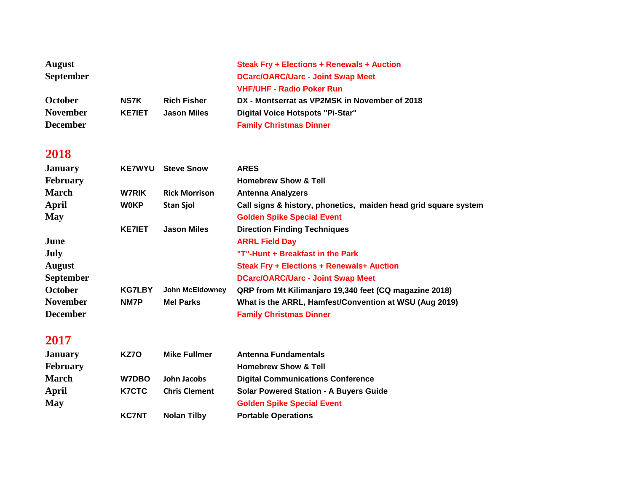| <b>August</b><br><b>September</b> |               |                        | <b>Steak Fry + Elections + Renewals + Auction</b><br><b>DCarc/OARC/Uarc - Joint Swap Meet</b><br><b>VHF/UHF - Radio Poker Run</b> |
|-----------------------------------|---------------|------------------------|-----------------------------------------------------------------------------------------------------------------------------------|
| <b>October</b>                    | <b>NS7K</b>   | <b>Rich Fisher</b>     | DX - Montserrat as VP2MSK in November of 2018                                                                                     |
| <b>November</b>                   | <b>KE7IET</b> | <b>Jason Miles</b>     | Digital Voice Hotspots "Pi-Star"                                                                                                  |
| <b>December</b>                   |               |                        | <b>Family Christmas Dinner</b>                                                                                                    |
| 2018                              |               |                        |                                                                                                                                   |
| <b>January</b>                    | <b>KE7WYU</b> | <b>Steve Snow</b>      | <b>ARES</b>                                                                                                                       |
| February                          |               |                        | <b>Homebrew Show &amp; Tell</b>                                                                                                   |
| <b>March</b>                      | <b>W7RIK</b>  | <b>Rick Morrison</b>   | <b>Antenna Analyzers</b>                                                                                                          |
| <b>April</b>                      | <b>WOKP</b>   | <b>Stan Sjol</b>       | Call signs & history, phonetics, maiden head grid square system                                                                   |
| <b>May</b>                        |               |                        | <b>Golden Spike Special Event</b>                                                                                                 |
|                                   | <b>KE7IET</b> | <b>Jason Miles</b>     | <b>Direction Finding Techniques</b>                                                                                               |
| June                              |               |                        | <b>ARRL Field Day</b>                                                                                                             |
| <b>July</b>                       |               |                        | "T"-Hunt + Breakfast in the Park                                                                                                  |
| <b>August</b>                     |               |                        | <b>Steak Fry + Elections + Renewals+ Auction</b>                                                                                  |
| <b>September</b>                  |               |                        | <b>DCarc/OARC/Uarc - Joint Swap Meet</b>                                                                                          |
| October                           | <b>KG7LBY</b> | <b>John McEldowney</b> | QRP from Mt Kilimanjaro 19,340 feet (CQ magazine 2018)                                                                            |
| <b>November</b>                   | NM7P          | <b>Mel Parks</b>       | What is the ARRL, Hamfest/Convention at WSU (Aug 2019)                                                                            |
| <b>December</b>                   |               |                        | <b>Family Christmas Dinner</b>                                                                                                    |
| 2017                              |               |                        |                                                                                                                                   |
| <b>January</b>                    | KZ70          | <b>Mike Fullmer</b>    | Antenna Fundamentals                                                                                                              |
| <b>February</b>                   |               |                        | <b>Homebrew Show &amp; Tell</b>                                                                                                   |
| <b>March</b>                      | W7DBO         | <b>John Jacobs</b>     | <b>Digital Communications Conference</b>                                                                                          |
| <b>April</b>                      | <b>K7CTC</b>  | <b>Chris Clement</b>   | <b>Solar Powered Station - A Buyers Guide</b>                                                                                     |
|                                   |               |                        |                                                                                                                                   |

- **May Golden Spike Special Event** 
	- **KC7NT Nolan Tilby Portable Operations**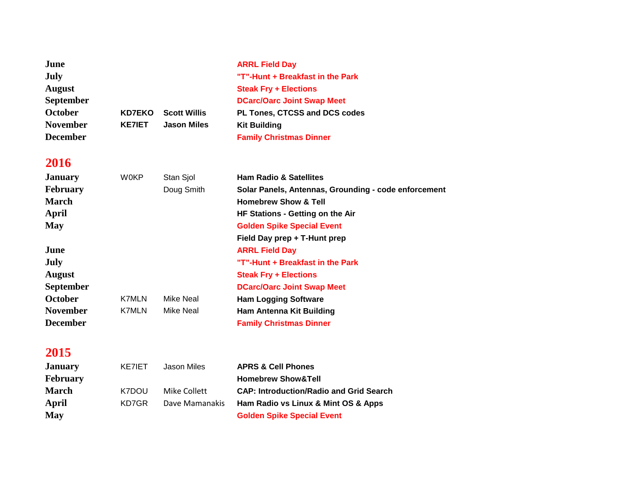| June<br>July<br><b>August</b><br><b>September</b> |               |                     | <b>ARRL Field Day</b><br>"T"-Hunt + Breakfast in the Park<br><b>Steak Fry + Elections</b><br><b>DCarc/Oarc Joint Swap Meet</b> |
|---------------------------------------------------|---------------|---------------------|--------------------------------------------------------------------------------------------------------------------------------|
| October                                           | <b>KD7EKO</b> | <b>Scott Willis</b> | PL Tones, CTCSS and DCS codes                                                                                                  |
| <b>November</b><br><b>December</b>                | <b>KE7IET</b> | <b>Jason Miles</b>  | <b>Kit Building</b><br><b>Family Christmas Dinner</b>                                                                          |
| 2016                                              |               |                     |                                                                                                                                |
| <b>January</b>                                    | <b>WOKP</b>   | Stan Sjol           | <b>Ham Radio &amp; Satellites</b>                                                                                              |
| <b>February</b>                                   |               | Doug Smith          | Solar Panels, Antennas, Grounding - code enforcement                                                                           |
| <b>March</b>                                      |               |                     | <b>Homebrew Show &amp; Tell</b>                                                                                                |
| April                                             |               |                     | HF Stations - Getting on the Air                                                                                               |
| <b>May</b>                                        |               |                     | <b>Golden Spike Special Event</b>                                                                                              |
|                                                   |               |                     | Field Day prep + T-Hunt prep                                                                                                   |
| June                                              |               |                     | <b>ARRL Field Day</b>                                                                                                          |
| July                                              |               |                     | "T"-Hunt + Breakfast in the Park                                                                                               |
| <b>August</b>                                     |               |                     | <b>Steak Fry + Elections</b>                                                                                                   |
| <b>September</b>                                  |               |                     | <b>DCarc/Oarc Joint Swap Meet</b>                                                                                              |
| October                                           | <b>K7MLN</b>  | Mike Neal           | <b>Ham Logging Software</b>                                                                                                    |
| <b>November</b>                                   | <b>K7MLN</b>  | <b>Mike Neal</b>    | <b>Ham Antenna Kit Building</b>                                                                                                |
| <b>December</b>                                   |               |                     | <b>Family Christmas Dinner</b>                                                                                                 |

| <b>January</b>  | KE7IET | Jason Miles    | <b>APRS &amp; Cell Phones</b>                  |
|-----------------|--------|----------------|------------------------------------------------|
| <b>February</b> |        |                | <b>Homebrew Show&amp;Tell</b>                  |
| <b>March</b>    | K7DOU  | Mike Collett   | <b>CAP: Introduction/Radio and Grid Search</b> |
| April           | KD7GR  | Dave Mamanakis | Ham Radio vs Linux & Mint OS & Apps            |
| <b>May</b>      |        |                | <b>Golden Spike Special Event</b>              |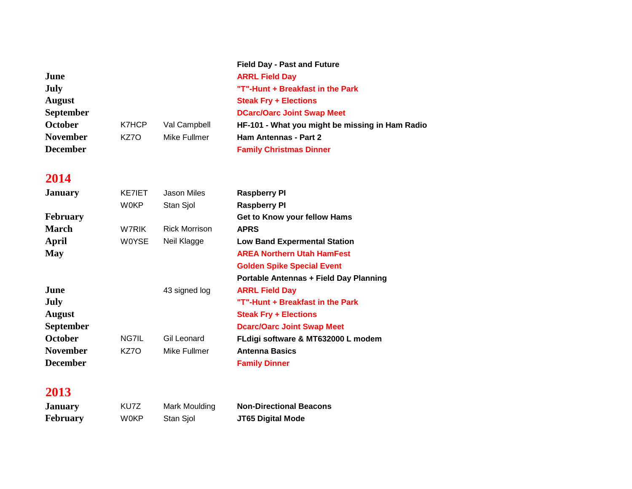|                  |       |              | <b>Field Day - Past and Future</b>              |
|------------------|-------|--------------|-------------------------------------------------|
| June             |       |              | <b>ARRL Field Day</b>                           |
| <b>July</b>      |       |              | "T"-Hunt + Breakfast in the Park                |
| <b>August</b>    |       |              | <b>Steak Fry + Elections</b>                    |
| <b>September</b> |       |              | <b>DCarc/Oarc Joint Swap Meet</b>               |
| October          | K7HCP | Val Campbell | HF-101 - What you might be missing in Ham Radio |
| <b>November</b>  | KZ7O  | Mike Fullmer | <b>Ham Antennas - Part 2</b>                    |
| <b>December</b>  |       |              | <b>Family Christmas Dinner</b>                  |

| W0KP<br>Stan Sjol<br><b>Raspberry PI</b><br><b>February</b><br>Get to Know your fellow Hams<br><b>March</b><br><b>Rick Morrison</b><br>W7RIK.<br><b>APRS</b><br>April<br><b>WOYSE</b><br>Neil Klagge<br><b>Low Band Expermental Station</b><br><b>May</b><br><b>AREA Northern Utah HamFest</b><br><b>Golden Spike Special Event</b><br><b>Portable Antennas + Field Day Planning</b><br>June<br>43 signed log<br><b>ARRL Field Day</b><br><b>July</b><br>"T"-Hunt + Breakfast in the Park<br><b>August</b><br><b>Steak Fry + Elections</b><br><b>September</b><br><b>Dcarc/Oarc Joint Swap Meet</b><br><b>October</b><br>NG7IL<br>Gil Leonard<br>FLdigi software & MT632000 L modem<br><b>November</b><br>KZ7O<br>Mike Fullmer<br><b>Antenna Basics</b><br><b>December</b><br><b>Family Dinner</b> | <b>January</b> | KE7IET | Jason Miles | <b>Raspberry PI</b> |
|----------------------------------------------------------------------------------------------------------------------------------------------------------------------------------------------------------------------------------------------------------------------------------------------------------------------------------------------------------------------------------------------------------------------------------------------------------------------------------------------------------------------------------------------------------------------------------------------------------------------------------------------------------------------------------------------------------------------------------------------------------------------------------------------------|----------------|--------|-------------|---------------------|
|                                                                                                                                                                                                                                                                                                                                                                                                                                                                                                                                                                                                                                                                                                                                                                                                    |                |        |             |                     |
|                                                                                                                                                                                                                                                                                                                                                                                                                                                                                                                                                                                                                                                                                                                                                                                                    |                |        |             |                     |
|                                                                                                                                                                                                                                                                                                                                                                                                                                                                                                                                                                                                                                                                                                                                                                                                    |                |        |             |                     |
|                                                                                                                                                                                                                                                                                                                                                                                                                                                                                                                                                                                                                                                                                                                                                                                                    |                |        |             |                     |
|                                                                                                                                                                                                                                                                                                                                                                                                                                                                                                                                                                                                                                                                                                                                                                                                    |                |        |             |                     |
|                                                                                                                                                                                                                                                                                                                                                                                                                                                                                                                                                                                                                                                                                                                                                                                                    |                |        |             |                     |
|                                                                                                                                                                                                                                                                                                                                                                                                                                                                                                                                                                                                                                                                                                                                                                                                    |                |        |             |                     |
|                                                                                                                                                                                                                                                                                                                                                                                                                                                                                                                                                                                                                                                                                                                                                                                                    |                |        |             |                     |
|                                                                                                                                                                                                                                                                                                                                                                                                                                                                                                                                                                                                                                                                                                                                                                                                    |                |        |             |                     |
|                                                                                                                                                                                                                                                                                                                                                                                                                                                                                                                                                                                                                                                                                                                                                                                                    |                |        |             |                     |
|                                                                                                                                                                                                                                                                                                                                                                                                                                                                                                                                                                                                                                                                                                                                                                                                    |                |        |             |                     |
|                                                                                                                                                                                                                                                                                                                                                                                                                                                                                                                                                                                                                                                                                                                                                                                                    |                |        |             |                     |
|                                                                                                                                                                                                                                                                                                                                                                                                                                                                                                                                                                                                                                                                                                                                                                                                    |                |        |             |                     |
|                                                                                                                                                                                                                                                                                                                                                                                                                                                                                                                                                                                                                                                                                                                                                                                                    |                |        |             |                     |

### **2013**

**January** KU7Z Mark Moulding **Non-Directional Beacons February** W0KP Stan Sjol **JT65 Digital Mode**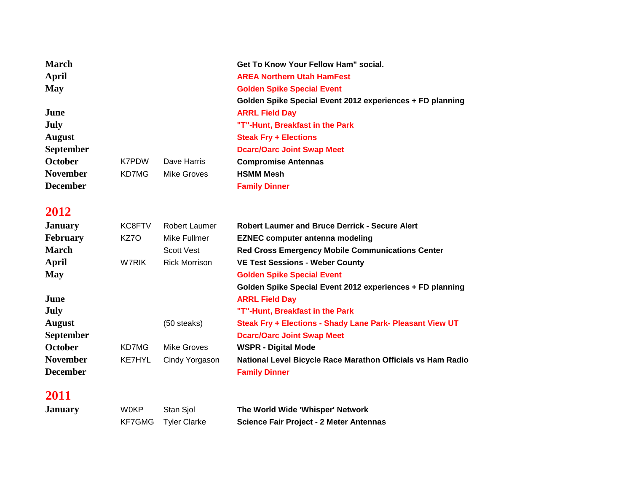| <b>March</b>     |               |                      | Get To Know Your Fellow Ham" social.                        |
|------------------|---------------|----------------------|-------------------------------------------------------------|
| <b>April</b>     |               |                      | <b>AREA Northern Utah HamFest</b>                           |
| <b>May</b>       |               |                      | <b>Golden Spike Special Event</b>                           |
|                  |               |                      | Golden Spike Special Event 2012 experiences + FD planning   |
| June             |               |                      | <b>ARRL Field Day</b>                                       |
| July             |               |                      | "T"-Hunt, Breakfast in the Park                             |
| <b>August</b>    |               |                      | <b>Steak Fry + Elections</b>                                |
| <b>September</b> |               |                      | <b>Dcarc/Oarc Joint Swap Meet</b>                           |
| <b>October</b>   | <b>K7PDW</b>  | Dave Harris          | <b>Compromise Antennas</b>                                  |
| <b>November</b>  | KD7MG         | <b>Mike Groves</b>   | <b>HSMM Mesh</b>                                            |
| <b>December</b>  |               |                      | <b>Family Dinner</b>                                        |
| 2012             |               |                      |                                                             |
| <b>January</b>   | KC8FTV        | Robert Laumer        | <b>Robert Laumer and Bruce Derrick - Secure Alert</b>       |
| <b>February</b>  | KZ7O          | Mike Fullmer         | <b>EZNEC computer antenna modeling</b>                      |
| <b>March</b>     |               | <b>Scott Vest</b>    | <b>Red Cross Emergency Mobile Communications Center</b>     |
| <b>April</b>     | <b>W7RIK</b>  | <b>Rick Morrison</b> | <b>VE Test Sessions - Weber County</b>                      |
| <b>May</b>       |               |                      | <b>Golden Spike Special Event</b>                           |
|                  |               |                      | Golden Spike Special Event 2012 experiences + FD planning   |
| June             |               |                      | <b>ARRL Field Day</b>                                       |
| July             |               |                      | "T"-Hunt, Breakfast in the Park                             |
| <b>August</b>    |               | $(50$ steaks)        | Steak Fry + Elections - Shady Lane Park- Pleasant View UT   |
| <b>September</b> |               |                      | <b>Dcarc/Oarc Joint Swap Meet</b>                           |
| <b>October</b>   | KD7MG         | <b>Mike Groves</b>   | <b>WSPR - Digital Mode</b>                                  |
| <b>November</b>  | <b>KE7HYL</b> | Cindy Yorgason       | National Level Bicycle Race Marathon Officials vs Ham Radio |
| <b>December</b>  |               |                      | <b>Family Dinner</b>                                        |

| <b>January</b> | <b>WOKP</b> | Stan Siol           | The World Wide 'Whisper' Network               |
|----------------|-------------|---------------------|------------------------------------------------|
|                |             | KF7GMG Tyler Clarke | <b>Science Fair Project - 2 Meter Antennas</b> |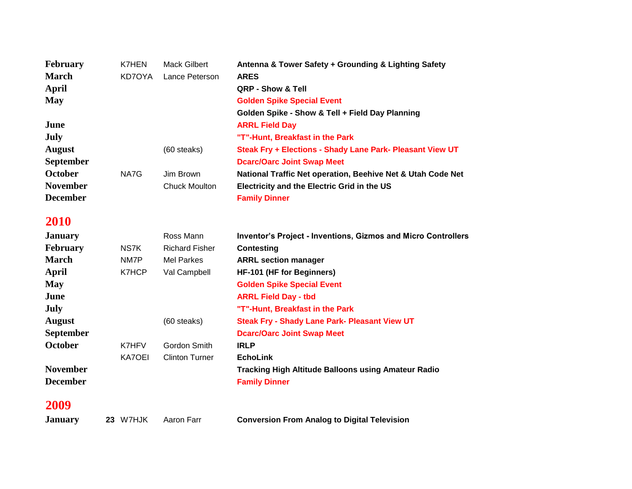| <b>February</b>  | K7HEN  | Mack Gilbert         | Antenna & Tower Safety + Grounding & Lighting Safety        |
|------------------|--------|----------------------|-------------------------------------------------------------|
| <b>March</b>     | KD7OYA | Lance Peterson       | <b>ARES</b>                                                 |
| April            |        |                      | QRP - Show & Tell                                           |
| <b>May</b>       |        |                      | <b>Golden Spike Special Event</b>                           |
|                  |        |                      | Golden Spike - Show & Tell + Field Day Planning             |
| June             |        |                      | <b>ARRL Field Day</b>                                       |
| July             |        |                      | "T"-Hunt, Breakfast in the Park                             |
| <b>August</b>    |        | (60 steaks)          | Steak Fry + Elections - Shady Lane Park- Pleasant View UT   |
| <b>September</b> |        |                      | <b>Dearc/Oarc Joint Swap Meet</b>                           |
| <b>October</b>   | NA7G   | Jim Brown            | National Traffic Net operation, Beehive Net & Utah Code Net |
| <b>November</b>  |        | <b>Chuck Moulton</b> | Electricity and the Electric Grid in the US                 |
| <b>December</b>  |        |                      | <b>Family Dinner</b>                                        |

| <b>January</b>   |        | Ross Mann             | <b>Inventor's Project - Inventions, Gizmos and Micro Controllers</b> |  |
|------------------|--------|-----------------------|----------------------------------------------------------------------|--|
| <b>February</b>  | NS7K   | <b>Richard Fisher</b> | <b>Contesting</b>                                                    |  |
| <b>March</b>     | NM7P   | Mel Parkes            | <b>ARRL section manager</b>                                          |  |
| April            | K7HCP  | Val Campbell          | <b>HF-101 (HF for Beginners)</b>                                     |  |
| <b>May</b>       |        |                       | <b>Golden Spike Special Event</b>                                    |  |
| June             |        |                       | <b>ARRL Field Day - tbd</b>                                          |  |
| July             |        |                       | "T"-Hunt, Breakfast in the Park                                      |  |
| <b>August</b>    |        | (60 steaks)           | <b>Steak Fry - Shady Lane Park- Pleasant View UT</b>                 |  |
| <b>September</b> |        |                       | <b>Dcarc/Oarc Joint Swap Meet</b>                                    |  |
| October          | K7HFV  | Gordon Smith          | <b>IRLP</b>                                                          |  |
|                  | KA7OEI | <b>Clinton Turner</b> | <b>EchoLink</b>                                                      |  |
| <b>November</b>  |        |                       | <b>Tracking High Altitude Balloons using Amateur Radio</b>           |  |
| <b>December</b>  |        |                       | <b>Family Dinner</b>                                                 |  |
|                  |        |                       |                                                                      |  |

### **2009**

**January 23** W7HJK Aaron Farr **Conversion From Analog to Digital Television**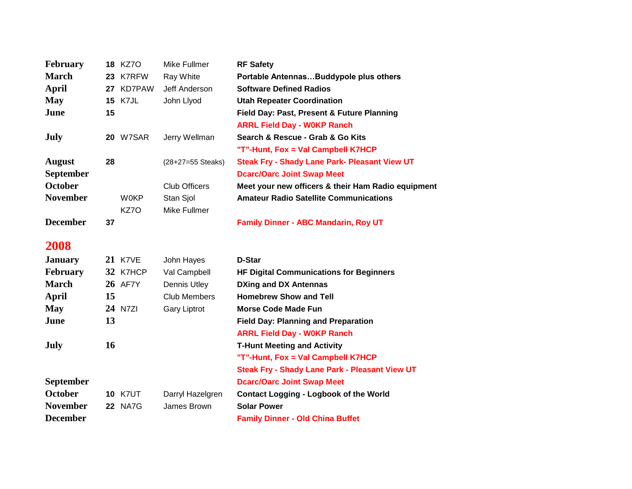| <b>February</b>  |    | <b>18 KZ7O</b>  | Mike Fullmer         | <b>RF Safety</b>                                     |  |
|------------------|----|-----------------|----------------------|------------------------------------------------------|--|
| <b>March</b>     |    | 23 K7RFW        | Ray White            | Portable Antennas Buddypole plus others              |  |
| <b>April</b>     |    | 27 KD7PAW       | Jeff Anderson        | <b>Software Defined Radios</b>                       |  |
| <b>May</b>       |    | <b>15 K7JL</b>  | John Llyod           | <b>Utah Repeater Coordination</b>                    |  |
| June             | 15 |                 |                      | Field Day: Past, Present & Future Planning           |  |
|                  |    |                 |                      | <b>ARRL Field Day - W0KP Ranch</b>                   |  |
| <b>July</b>      |    | <b>20 W7SAR</b> | Jerry Wellman        | Search & Rescue - Grab & Go Kits                     |  |
|                  |    |                 |                      | "T"-Hunt, Fox = Val Campbell K7HCP                   |  |
| <b>August</b>    | 28 |                 | (28+27=55 Steaks)    | <b>Steak Fry - Shady Lane Park- Pleasant View UT</b> |  |
| <b>September</b> |    |                 |                      | <b>Dcarc/Oarc Joint Swap Meet</b>                    |  |
| <b>October</b>   |    |                 | <b>Club Officers</b> | Meet your new officers & their Ham Radio equipment   |  |
| <b>November</b>  |    | <b>W0KP</b>     | Stan Sjol            | <b>Amateur Radio Satellite Communications</b>        |  |
|                  |    | KZ7O            | Mike Fullmer         |                                                      |  |
| <b>December</b>  | 37 |                 |                      | <b>Family Dinner - ABC Mandarin, Roy UT</b>          |  |
|                  |    |                 |                      |                                                      |  |
| 2008             |    |                 |                      |                                                      |  |
| <b>January</b>   |    | <b>21 K7VE</b>  | John Hayes           | D-Star                                               |  |
| <b>February</b>  |    | 32 K7HCP        | Val Campbell         | <b>HF Digital Communications for Beginners</b>       |  |
| <b>March</b>     |    | <b>26 AF7Y</b>  | <b>Dennis Utley</b>  | <b>DXing and DX Antennas</b>                         |  |
| <b>April</b>     | 15 |                 | <b>Club Members</b>  | <b>Homebrew Show and Tell</b>                        |  |
| <b>May</b>       |    | 24 N7ZI         | <b>Gary Liptrot</b>  | <b>Morse Code Made Fun</b>                           |  |
| June             | 13 |                 |                      | <b>Field Day: Planning and Preparation</b>           |  |
|                  |    |                 |                      | <b>ARRL Field Day - W0KP Ranch</b>                   |  |
| <b>July</b>      | 16 |                 |                      | <b>T-Hunt Meeting and Activity</b>                   |  |
|                  |    |                 |                      | "T"-Hunt, Fox = Val Campbell K7HCP                   |  |
|                  |    |                 |                      | Steak Fry - Shady Lane Park - Pleasant View UT       |  |
| <b>September</b> |    |                 |                      | <b>Dcarc/Oarc Joint Swap Meet</b>                    |  |
| <b>October</b>   |    | <b>10 K7UT</b>  | Darryl Hazelgren     | <b>Contact Logging - Logbook of the World</b>        |  |
| <b>November</b>  |    | <b>22 NA7G</b>  | James Brown          | <b>Solar Power</b>                                   |  |
| <b>December</b>  |    |                 |                      | <b>Family Dinner - Old China Buffet</b>              |  |
|                  |    |                 |                      |                                                      |  |